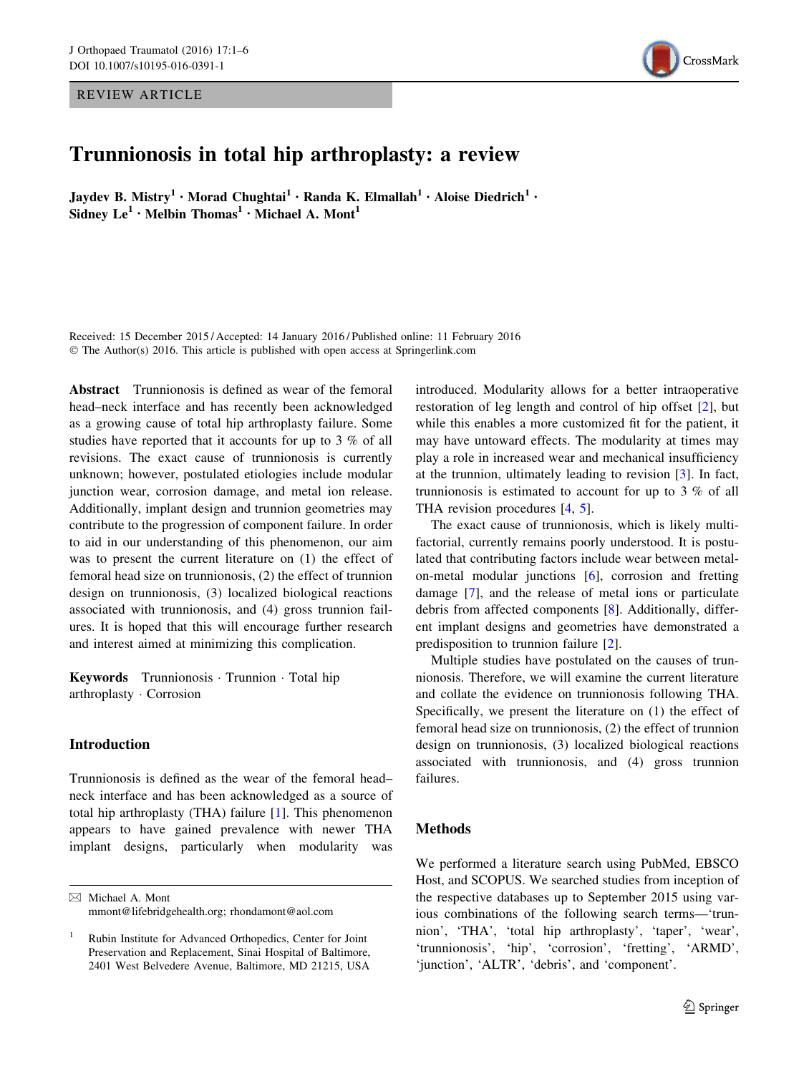REVIEW ARTICLE



# Trunnionosis in total hip arthroplasty: a review

Jaydev B. Mistry<sup>1</sup> • Morad Chughtai<sup>1</sup> • Randa K. Elmallah<sup>1</sup> • Aloise Diedrich<sup>1</sup> • Sidney  $Le^1 \cdot$  Melbin Thomas<sup>1</sup>  $\cdot$  Michael A. Mont<sup>1</sup>

Received: 15 December 2015 / Accepted: 14 January 2016 / Published online: 11 February 2016 © The Author(s) 2016. This article is published with open access at Springerlink.com

Abstract Trunnionosis is defined as wear of the femoral head–neck interface and has recently been acknowledged as a growing cause of total hip arthroplasty failure. Some studies have reported that it accounts for up to 3 % of all revisions. The exact cause of trunnionosis is currently unknown; however, postulated etiologies include modular junction wear, corrosion damage, and metal ion release. Additionally, implant design and trunnion geometries may contribute to the progression of component failure. In order to aid in our understanding of this phenomenon, our aim was to present the current literature on (1) the effect of femoral head size on trunnionosis, (2) the effect of trunnion design on trunnionosis, (3) localized biological reactions associated with trunnionosis, and (4) gross trunnion failures. It is hoped that this will encourage further research and interest aimed at minimizing this complication.

Keywords Trunnionosis · Trunnion · Total hip arthroplasty - Corrosion

## Introduction

Trunnionosis is defined as the wear of the femoral head– neck interface and has been acknowledged as a source of total hip arthroplasty (THA) failure [\[1](#page-4-0)]. This phenomenon appears to have gained prevalence with newer THA implant designs, particularly when modularity was

& Michael A. Mont mmont@lifebridgehealth.org; rhondamont@aol.com introduced. Modularity allows for a better intraoperative restoration of leg length and control of hip offset [\[2](#page-4-0)], but while this enables a more customized fit for the patient, it may have untoward effects. The modularity at times may play a role in increased wear and mechanical insufficiency at the trunnion, ultimately leading to revision [\[3](#page-4-0)]. In fact, trunnionosis is estimated to account for up to 3 % of all THA revision procedures [\[4](#page-4-0), [5\]](#page-5-0).

The exact cause of trunnionosis, which is likely multifactorial, currently remains poorly understood. It is postulated that contributing factors include wear between metalon-metal modular junctions [\[6](#page-5-0)], corrosion and fretting damage [\[7](#page-5-0)], and the release of metal ions or particulate debris from affected components [[8\]](#page-5-0). Additionally, different implant designs and geometries have demonstrated a predisposition to trunnion failure [\[2](#page-4-0)].

Multiple studies have postulated on the causes of trunnionosis. Therefore, we will examine the current literature and collate the evidence on trunnionosis following THA. Specifically, we present the literature on (1) the effect of femoral head size on trunnionosis, (2) the effect of trunnion design on trunnionosis, (3) localized biological reactions associated with trunnionosis, and (4) gross trunnion failures.

#### Methods

We performed a literature search using PubMed, EBSCO Host, and SCOPUS. We searched studies from inception of the respective databases up to September 2015 using various combinations of the following search terms—'trunnion', 'THA', 'total hip arthroplasty', 'taper', 'wear', 'trunnionosis', 'hip', 'corrosion', 'fretting', 'ARMD', 'junction', 'ALTR', 'debris', and 'component'.

<sup>1</sup> Rubin Institute for Advanced Orthopedics, Center for Joint Preservation and Replacement, Sinai Hospital of Baltimore, 2401 West Belvedere Avenue, Baltimore, MD 21215, USA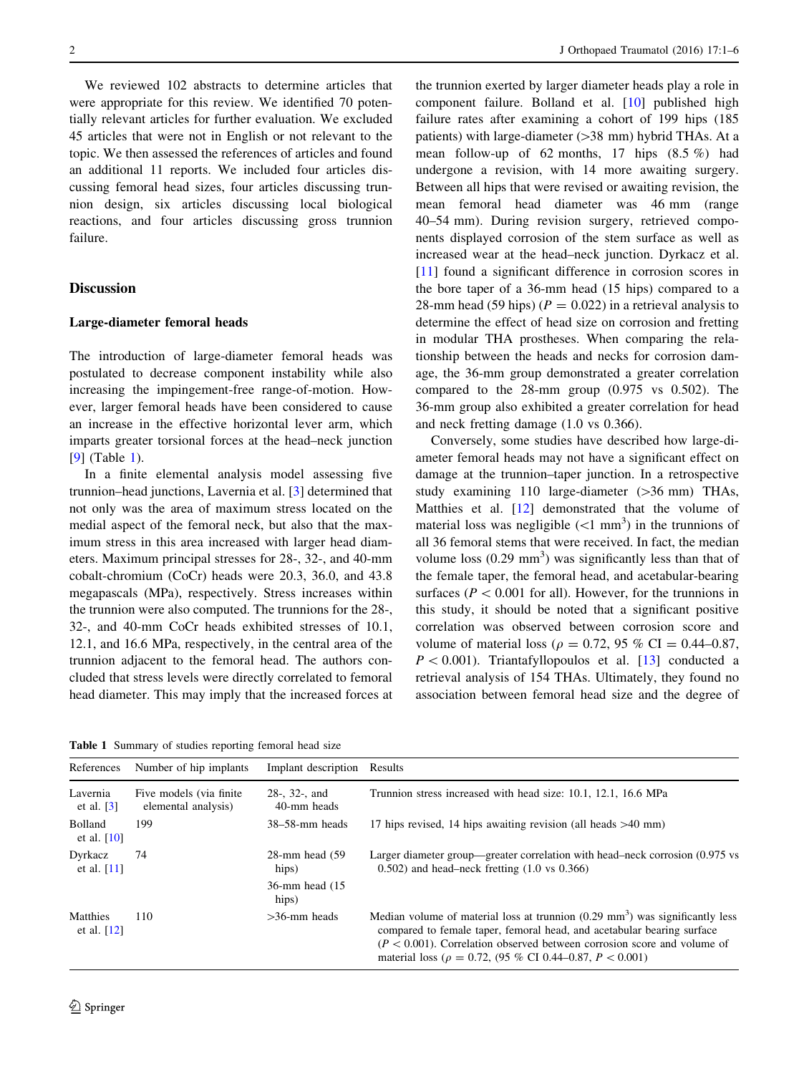We reviewed 102 abstracts to determine articles that were appropriate for this review. We identified 70 potentially relevant articles for further evaluation. We excluded 45 articles that were not in English or not relevant to the topic. We then assessed the references of articles and found an additional 11 reports. We included four articles discussing femoral head sizes, four articles discussing trunnion design, six articles discussing local biological reactions, and four articles discussing gross trunnion failure.

### **Discussion**

#### Large-diameter femoral heads

The introduction of large-diameter femoral heads was postulated to decrease component instability while also increasing the impingement-free range-of-motion. However, larger femoral heads have been considered to cause an increase in the effective horizontal lever arm, which imparts greater torsional forces at the head–neck junction [\[9](#page-5-0)] (Table 1).

In a finite elemental analysis model assessing five trunnion–head junctions, Lavernia et al. [[3\]](#page-4-0) determined that not only was the area of maximum stress located on the medial aspect of the femoral neck, but also that the maximum stress in this area increased with larger head diameters. Maximum principal stresses for 28-, 32-, and 40-mm cobalt-chromium (CoCr) heads were 20.3, 36.0, and 43.8 megapascals (MPa), respectively. Stress increases within the trunnion were also computed. The trunnions for the 28-, 32-, and 40-mm CoCr heads exhibited stresses of 10.1, 12.1, and 16.6 MPa, respectively, in the central area of the trunnion adjacent to the femoral head. The authors concluded that stress levels were directly correlated to femoral head diameter. This may imply that the increased forces at

Table 1 Summary of studies reporting femoral head size

the trunnion exerted by larger diameter heads play a role in component failure. Bolland et al. [\[10](#page-5-0)] published high failure rates after examining a cohort of 199 hips (185 patients) with large-diameter  $(>38$  mm) hybrid THAs. At a mean follow-up of 62 months, 17 hips (8.5 %) had undergone a revision, with 14 more awaiting surgery. Between all hips that were revised or awaiting revision, the mean femoral head diameter was 46 mm (range 40–54 mm). During revision surgery, retrieved components displayed corrosion of the stem surface as well as increased wear at the head–neck junction. Dyrkacz et al. [\[11](#page-5-0)] found a significant difference in corrosion scores in the bore taper of a 36-mm head (15 hips) compared to a 28-mm head (59 hips) ( $P = 0.022$ ) in a retrieval analysis to determine the effect of head size on corrosion and fretting in modular THA prostheses. When comparing the relationship between the heads and necks for corrosion damage, the 36-mm group demonstrated a greater correlation compared to the 28-mm group (0.975 vs 0.502). The 36-mm group also exhibited a greater correlation for head and neck fretting damage (1.0 vs 0.366).

Conversely, some studies have described how large-diameter femoral heads may not have a significant effect on damage at the trunnion–taper junction. In a retrospective study examining  $110$  large-diameter ( $>36$  mm) THAs, Matthies et al. [\[12](#page-5-0)] demonstrated that the volume of material loss was negligible  $(<1$  mm<sup>3</sup>) in the trunnions of all 36 femoral stems that were received. In fact, the median volume loss  $(0.29 \text{ mm}^3)$  was significantly less than that of the female taper, the femoral head, and acetabular-bearing surfaces ( $P < 0.001$  for all). However, for the trunnions in this study, it should be noted that a significant positive correlation was observed between corrosion score and volume of material loss ( $\rho = 0.72$ , 95 % CI = 0.44–0.87,  $P < 0.001$ ). Triantafyllopoulos et al. [\[13](#page-5-0)] conducted a retrieval analysis of 154 THAs. Ultimately, they found no association between femoral head size and the degree of

| References                           | Number of hip implants                          | Implant description                                                                                                                                                                                                                                                                                                                     | Results                                                                                                                                     |
|--------------------------------------|-------------------------------------------------|-----------------------------------------------------------------------------------------------------------------------------------------------------------------------------------------------------------------------------------------------------------------------------------------------------------------------------------------|---------------------------------------------------------------------------------------------------------------------------------------------|
| Lavernia<br>et al. $\lceil 3 \rceil$ | Five models (via finite)<br>elemental analysis) | $28-$ , $32-$ , and<br>40-mm heads                                                                                                                                                                                                                                                                                                      | Trunnion stress increased with head size: 10.1, 12.1, 16.6 MPa                                                                              |
| <b>Bolland</b><br>et al. $[10]$      | 199                                             | $38-58$ -mm heads                                                                                                                                                                                                                                                                                                                       | 17 hips revised, 14 hips awaiting revision (all heads $>40$ mm)                                                                             |
| Dyrkacz<br>et al. $[11]$             | 74                                              | $28$ -mm head $(59)$<br>hips)                                                                                                                                                                                                                                                                                                           | Larger diameter group—greater correlation with head-neck corrosion (0.975 vs)<br>$(0.502)$ and head-neck fretting $(1.0 \text{ vs } 0.366)$ |
|                                      |                                                 | 36-mm head (15)<br>hips)                                                                                                                                                                                                                                                                                                                |                                                                                                                                             |
| Matthies<br>et al. $[12]$            | 110                                             | Median volume of material loss at trunnion $(0.29 \text{ mm}^3)$ was significantly less<br>$>36$ -mm heads<br>compared to female taper, femoral head, and acetabular bearing surface<br>$(P < 0.001)$ . Correlation observed between corrosion score and volume of<br>material loss ( $\rho = 0.72$ , (95 % CI 0.44–0.87, $P < 0.001$ ) |                                                                                                                                             |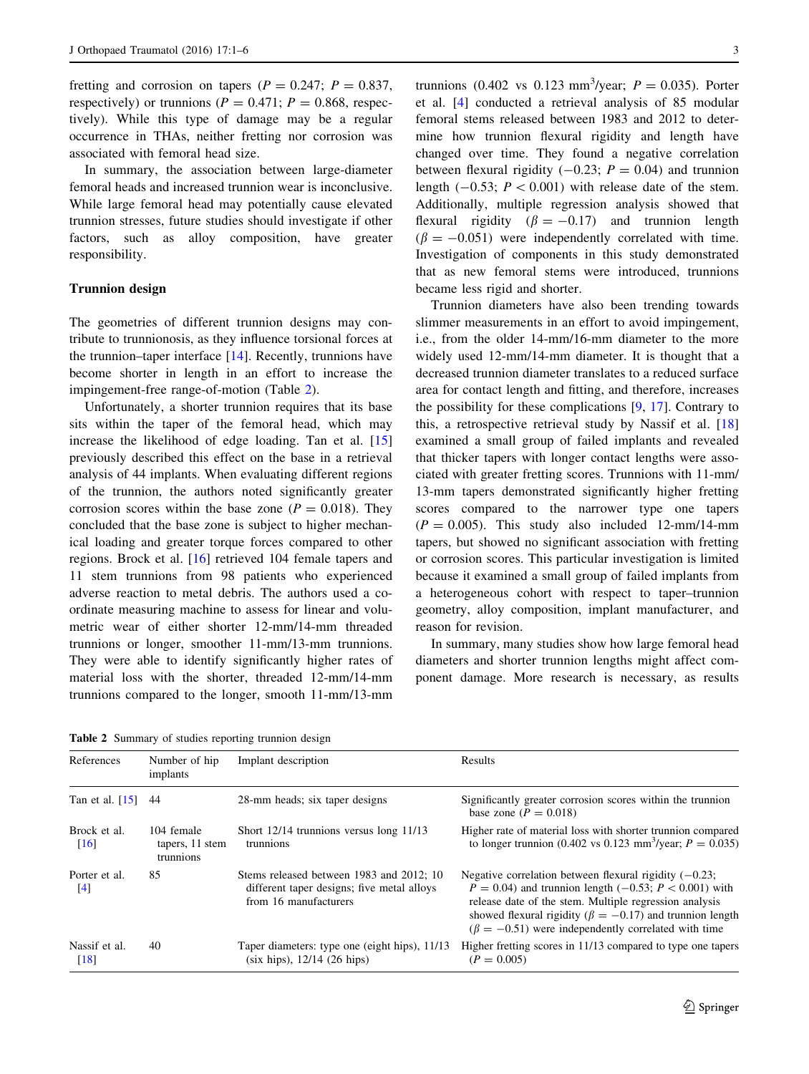fretting and corrosion on tapers ( $P = 0.247$ ;  $P = 0.837$ , respectively) or trunnions ( $P = 0.471$ ;  $P = 0.868$ , respectively). While this type of damage may be a regular occurrence in THAs, neither fretting nor corrosion was associated with femoral head size.

In summary, the association between large-diameter femoral heads and increased trunnion wear is inconclusive. While large femoral head may potentially cause elevated trunnion stresses, future studies should investigate if other factors, such as alloy composition, have greater responsibility.

## Trunnion design

The geometries of different trunnion designs may contribute to trunnionosis, as they influence torsional forces at the trunnion–taper interface [[14\]](#page-5-0). Recently, trunnions have become shorter in length in an effort to increase the impingement-free range-of-motion (Table 2).

Unfortunately, a shorter trunnion requires that its base sits within the taper of the femoral head, which may increase the likelihood of edge loading. Tan et al. [[15\]](#page-5-0) previously described this effect on the base in a retrieval analysis of 44 implants. When evaluating different regions of the trunnion, the authors noted significantly greater corrosion scores within the base zone ( $P = 0.018$ ). They concluded that the base zone is subject to higher mechanical loading and greater torque forces compared to other regions. Brock et al. [[16\]](#page-5-0) retrieved 104 female tapers and 11 stem trunnions from 98 patients who experienced adverse reaction to metal debris. The authors used a coordinate measuring machine to assess for linear and volumetric wear of either shorter 12-mm/14-mm threaded trunnions or longer, smoother 11-mm/13-mm trunnions. They were able to identify significantly higher rates of material loss with the shorter, threaded 12-mm/14-mm trunnions compared to the longer, smooth 11-mm/13-mm

trunnions (0.402 vs 0.123 mm<sup>3</sup>/year;  $P = 0.035$ ). Porter et al. [[4\]](#page-4-0) conducted a retrieval analysis of 85 modular femoral stems released between 1983 and 2012 to determine how trunnion flexural rigidity and length have changed over time. They found a negative correlation between flexural rigidity  $(-0.23; P = 0.04)$  and trunnion length  $(-0.53; P < 0.001)$  with release date of the stem. Additionally, multiple regression analysis showed that flexural rigidity ( $\beta = -0.17$ ) and trunnion length  $(\beta = -0.051)$  were independently correlated with time. Investigation of components in this study demonstrated that as new femoral stems were introduced, trunnions became less rigid and shorter.

Trunnion diameters have also been trending towards slimmer measurements in an effort to avoid impingement, i.e., from the older 14-mm/16-mm diameter to the more widely used 12-mm/14-mm diameter. It is thought that a decreased trunnion diameter translates to a reduced surface area for contact length and fitting, and therefore, increases the possibility for these complications [[9,](#page-5-0) [17\]](#page-5-0). Contrary to this, a retrospective retrieval study by Nassif et al. [[18\]](#page-5-0) examined a small group of failed implants and revealed that thicker tapers with longer contact lengths were associated with greater fretting scores. Trunnions with 11-mm/ 13-mm tapers demonstrated significantly higher fretting scores compared to the narrower type one tapers  $(P = 0.005)$ . This study also included 12-mm/14-mm tapers, but showed no significant association with fretting or corrosion scores. This particular investigation is limited because it examined a small group of failed implants from a heterogeneous cohort with respect to taper–trunnion geometry, alloy composition, implant manufacturer, and reason for revision.

In summary, many studies show how large femoral head diameters and shorter trunnion lengths might affect component damage. More research is necessary, as results

Table 2 Summary of studies reporting trunnion design

| References                                                                       | Number of hip<br>implants | Implant description                                                                                             | Results                                                                                                                                                                                                                                                                                                              |
|----------------------------------------------------------------------------------|---------------------------|-----------------------------------------------------------------------------------------------------------------|----------------------------------------------------------------------------------------------------------------------------------------------------------------------------------------------------------------------------------------------------------------------------------------------------------------------|
| Tan et al. $[15]$                                                                | 44                        | 28-mm heads; six taper designs                                                                                  | Significantly greater corrosion scores within the trunnion<br>base zone ( $P = 0.018$ )                                                                                                                                                                                                                              |
| Brock et al.<br>104 female<br>tapers, 11 stem<br>$\lceil 16 \rceil$<br>trunnions |                           | Short $12/14$ trunnions versus long $11/13$<br>trunnions                                                        | Higher rate of material loss with shorter trunnion compared<br>to longer trunnion (0.402 vs 0.123 mm <sup>3</sup> /year; $P = 0.035$ )                                                                                                                                                                               |
| Porter et al.<br>[4]                                                             | 85                        | Stems released between 1983 and 2012; 10<br>different taper designs; five metal alloys<br>from 16 manufacturers | Negative correlation between flexural rigidity $(-0.23)$ ;<br>$P = 0.04$ ) and trunnion length (-0.53; $P < 0.001$ ) with<br>release date of the stem. Multiple regression analysis<br>showed flexural rigidity ( $\beta = -0.17$ ) and trunnion length<br>$(\beta = -0.51)$ were independently correlated with time |
| Nassif et al.<br>$[18]$                                                          | 40                        | Taper diameters: type one (eight hips), 11/13<br>(six hips), 12/14 (26 hips)                                    | Higher fretting scores in 11/13 compared to type one tapers<br>$(P = 0.005)$                                                                                                                                                                                                                                         |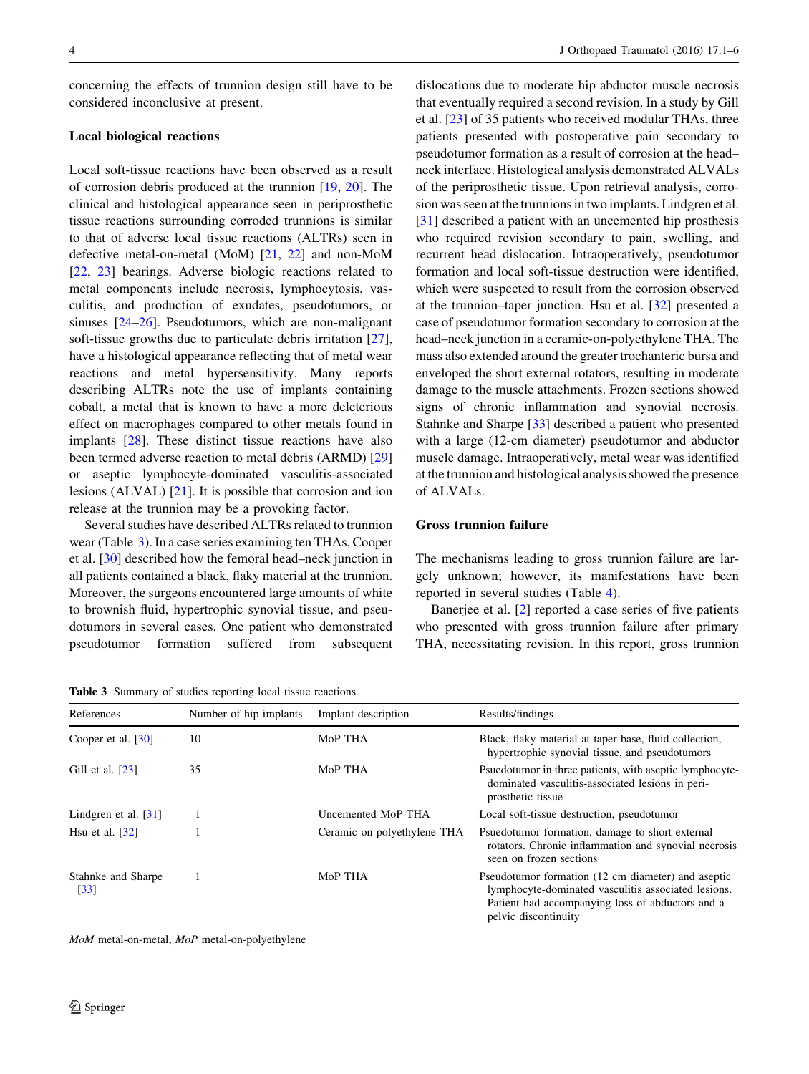concerning the effects of trunnion design still have to be considered inconclusive at present.

#### Local biological reactions

Local soft-tissue reactions have been observed as a result of corrosion debris produced at the trunnion [[19,](#page-5-0) [20](#page-5-0)]. The clinical and histological appearance seen in periprosthetic tissue reactions surrounding corroded trunnions is similar to that of adverse local tissue reactions (ALTRs) seen in defective metal-on-metal (MoM) [[21,](#page-5-0) [22\]](#page-5-0) and non-MoM [\[22](#page-5-0), [23\]](#page-5-0) bearings. Adverse biologic reactions related to metal components include necrosis, lymphocytosis, vasculitis, and production of exudates, pseudotumors, or sinuses [\[24–26](#page-5-0)]. Pseudotumors, which are non-malignant soft-tissue growths due to particulate debris irritation [\[27](#page-5-0)], have a histological appearance reflecting that of metal wear reactions and metal hypersensitivity. Many reports describing ALTRs note the use of implants containing cobalt, a metal that is known to have a more deleterious effect on macrophages compared to other metals found in implants [\[28](#page-5-0)]. These distinct tissue reactions have also been termed adverse reaction to metal debris (ARMD) [[29\]](#page-5-0) or aseptic lymphocyte-dominated vasculitis-associated lesions (ALVAL) [\[21](#page-5-0)]. It is possible that corrosion and ion release at the trunnion may be a provoking factor.

Several studies have described ALTRs related to trunnion wear (Table 3). In a case series examining ten THAs, Cooper et al. [\[30](#page-5-0)] described how the femoral head–neck junction in all patients contained a black, flaky material at the trunnion. Moreover, the surgeons encountered large amounts of white to brownish fluid, hypertrophic synovial tissue, and pseudotumors in several cases. One patient who demonstrated pseudotumor formation suffered from subsequent

Table 3 Summary of studies reporting local tissue reactions

dislocations due to moderate hip abductor muscle necrosis that eventually required a second revision. In a study by Gill et al. [\[23](#page-5-0)] of 35 patients who received modular THAs, three patients presented with postoperative pain secondary to pseudotumor formation as a result of corrosion at the head– neck interface. Histological analysis demonstrated ALVALs of the periprosthetic tissue. Upon retrieval analysis, corrosion was seen at the trunnions in two implants. Lindgren et al. [\[31](#page-5-0)] described a patient with an uncemented hip prosthesis who required revision secondary to pain, swelling, and recurrent head dislocation. Intraoperatively, pseudotumor formation and local soft-tissue destruction were identified, which were suspected to result from the corrosion observed at the trunnion–taper junction. Hsu et al. [\[32](#page-5-0)] presented a case of pseudotumor formation secondary to corrosion at the head–neck junction in a ceramic-on-polyethylene THA. The mass also extended around the greater trochanteric bursa and enveloped the short external rotators, resulting in moderate damage to the muscle attachments. Frozen sections showed signs of chronic inflammation and synovial necrosis. Stahnke and Sharpe [[33\]](#page-5-0) described a patient who presented with a large (12-cm diameter) pseudotumor and abductor muscle damage. Intraoperatively, metal wear was identified at the trunnion and histological analysis showed the presence of ALVALs.

#### Gross trunnion failure

The mechanisms leading to gross trunnion failure are largely unknown; however, its manifestations have been reported in several studies (Table [4](#page-4-0)).

Banerjee et al. [[2\]](#page-4-0) reported a case series of five patients who presented with gross trunnion failure after primary THA, necessitating revision. In this report, gross trunnion

| References                              | Number of hip implants | Implant description         | Results/findings                                                                                                                                                                      |  |
|-----------------------------------------|------------------------|-----------------------------|---------------------------------------------------------------------------------------------------------------------------------------------------------------------------------------|--|
| Cooper et al. $\left[30\right]$         | 10                     | MoP THA                     | Black, flaky material at taper base, fluid collection,<br>hypertrophic synovial tissue, and pseudotumors                                                                              |  |
| Gill et al. $[23]$                      | 35                     | MoP THA                     | Psuedotumor in three patients, with a septic lymphocyte-<br>dominated vasculitis-associated lesions in peri-<br>prosthetic tissue                                                     |  |
| Lindgren et al. $[31]$                  |                        | Uncemented MoP THA          | Local soft-tissue destruction, pseudotumor                                                                                                                                            |  |
| Hsu et al. $[32]$                       |                        | Ceramic on polyethylene THA | Psuedotumor formation, damage to short external<br>rotators. Chronic inflammation and synovial necrosis<br>seen on frozen sections                                                    |  |
| Stahnke and Sharpe<br>$\left[33\right]$ |                        | MoP THA                     | Pseudotumor formation (12 cm diameter) and aseptic<br>lymphocyte-dominated vasculitis associated lesions.<br>Patient had accompanying loss of abductors and a<br>pelvic discontinuity |  |

MoM metal-on-metal, MoP metal-on-polyethylene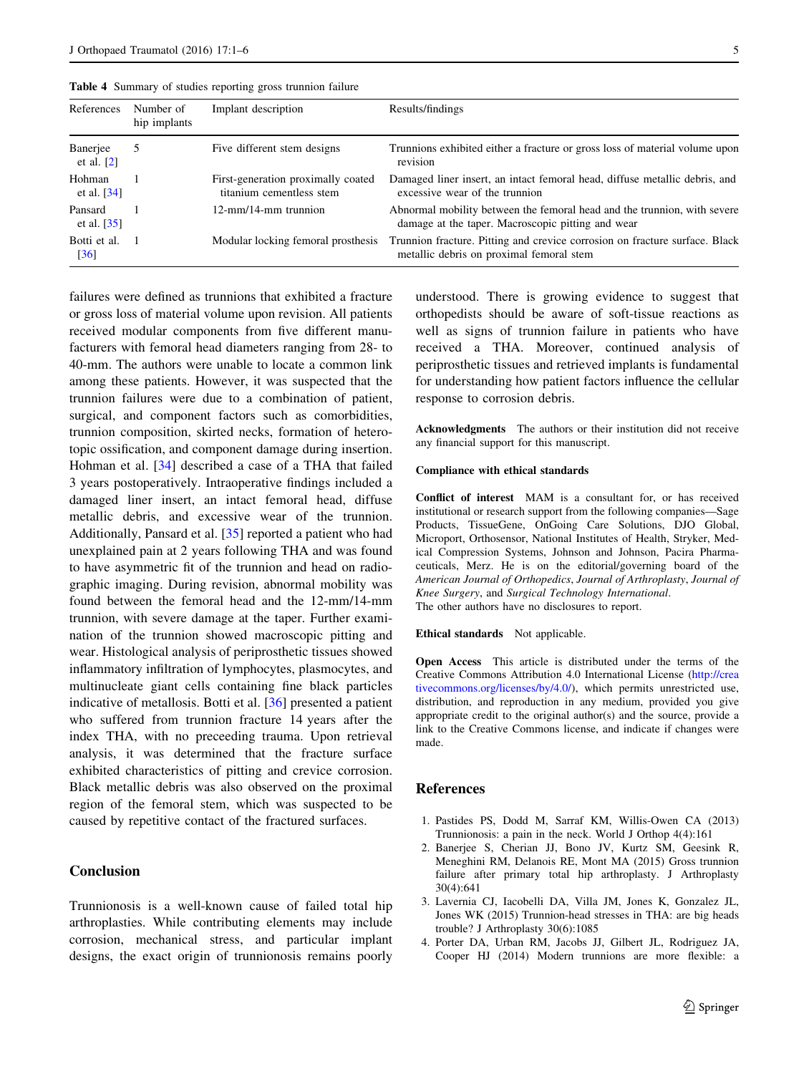| References               | Number of<br>hip implants | Implant description                                            | Results/findings                                                                                                              |
|--------------------------|---------------------------|----------------------------------------------------------------|-------------------------------------------------------------------------------------------------------------------------------|
| Banerjee<br>et al. $[2]$ |                           | Five different stem designs                                    | Trunnions exhibited either a fracture or gross loss of material volume upon<br>revision                                       |
| Hohman<br>et al. $[34]$  |                           | First-generation proximally coated<br>titanium cementless stem | Damaged liner insert, an intact femoral head, diffuse metallic debris, and<br>excessive wear of the trunnion                  |
| Pansard<br>et al. $[35]$ |                           | 12-mm/14-mm trunnion                                           | Abnormal mobility between the femoral head and the trunnion, with severe<br>damage at the taper. Macroscopic pitting and wear |
| Botti et al.<br>[36]     |                           | Modular locking femoral prosthesis                             | Trunnion fracture. Pitting and crevice corrosion on fracture surface. Black<br>metallic debris on proximal femoral stem       |

<span id="page-4-0"></span>Table 4 Summary of studies reporting gross trunnion failure

failures were defined as trunnions that exhibited a fracture or gross loss of material volume upon revision. All patients received modular components from five different manufacturers with femoral head diameters ranging from 28- to 40-mm. The authors were unable to locate a common link among these patients. However, it was suspected that the trunnion failures were due to a combination of patient, surgical, and component factors such as comorbidities, trunnion composition, skirted necks, formation of heterotopic ossification, and component damage during insertion. Hohman et al. [\[34](#page-5-0)] described a case of a THA that failed 3 years postoperatively. Intraoperative findings included a damaged liner insert, an intact femoral head, diffuse metallic debris, and excessive wear of the trunnion. Additionally, Pansard et al. [\[35](#page-5-0)] reported a patient who had unexplained pain at 2 years following THA and was found to have asymmetric fit of the trunnion and head on radiographic imaging. During revision, abnormal mobility was found between the femoral head and the 12-mm/14-mm trunnion, with severe damage at the taper. Further examination of the trunnion showed macroscopic pitting and wear. Histological analysis of periprosthetic tissues showed inflammatory infiltration of lymphocytes, plasmocytes, and multinucleate giant cells containing fine black particles indicative of metallosis. Botti et al. [[36\]](#page-5-0) presented a patient who suffered from trunnion fracture 14 years after the index THA, with no preceeding trauma. Upon retrieval analysis, it was determined that the fracture surface exhibited characteristics of pitting and crevice corrosion. Black metallic debris was also observed on the proximal region of the femoral stem, which was suspected to be caused by repetitive contact of the fractured surfaces.

### Conclusion

Trunnionosis is a well-known cause of failed total hip arthroplasties. While contributing elements may include corrosion, mechanical stress, and particular implant designs, the exact origin of trunnionosis remains poorly understood. There is growing evidence to suggest that orthopedists should be aware of soft-tissue reactions as well as signs of trunnion failure in patients who have received a THA. Moreover, continued analysis of periprosthetic tissues and retrieved implants is fundamental for understanding how patient factors influence the cellular response to corrosion debris.

Acknowledgments The authors or their institution did not receive any financial support for this manuscript.

#### Compliance with ethical standards

Conflict of interest MAM is a consultant for, or has received institutional or research support from the following companies—Sage Products, TissueGene, OnGoing Care Solutions, DJO Global, Microport, Orthosensor, National Institutes of Health, Stryker, Medical Compression Systems, Johnson and Johnson, Pacira Pharmaceuticals, Merz. He is on the editorial/governing board of the American Journal of Orthopedics, Journal of Arthroplasty, Journal of Knee Surgery, and Surgical Technology International. The other authors have no disclosures to report.

#### Ethical standards Not applicable.

Open Access This article is distributed under the terms of the Creative Commons Attribution 4.0 International License ([http://crea](http://creativecommons.org/licenses/by/4.0/) [tivecommons.org/licenses/by/4.0/\)](http://creativecommons.org/licenses/by/4.0/), which permits unrestricted use, distribution, and reproduction in any medium, provided you give appropriate credit to the original author(s) and the source, provide a link to the Creative Commons license, and indicate if changes were made.

#### References

- 1. Pastides PS, Dodd M, Sarraf KM, Willis-Owen CA (2013) Trunnionosis: a pain in the neck. World J Orthop 4(4):161
- 2. Banerjee S, Cherian JJ, Bono JV, Kurtz SM, Geesink R, Meneghini RM, Delanois RE, Mont MA (2015) Gross trunnion failure after primary total hip arthroplasty. J Arthroplasty 30(4):641
- 3. Lavernia CJ, Iacobelli DA, Villa JM, Jones K, Gonzalez JL, Jones WK (2015) Trunnion-head stresses in THA: are big heads trouble? J Arthroplasty 30(6):1085
- 4. Porter DA, Urban RM, Jacobs JJ, Gilbert JL, Rodriguez JA, Cooper HJ (2014) Modern trunnions are more flexible: a